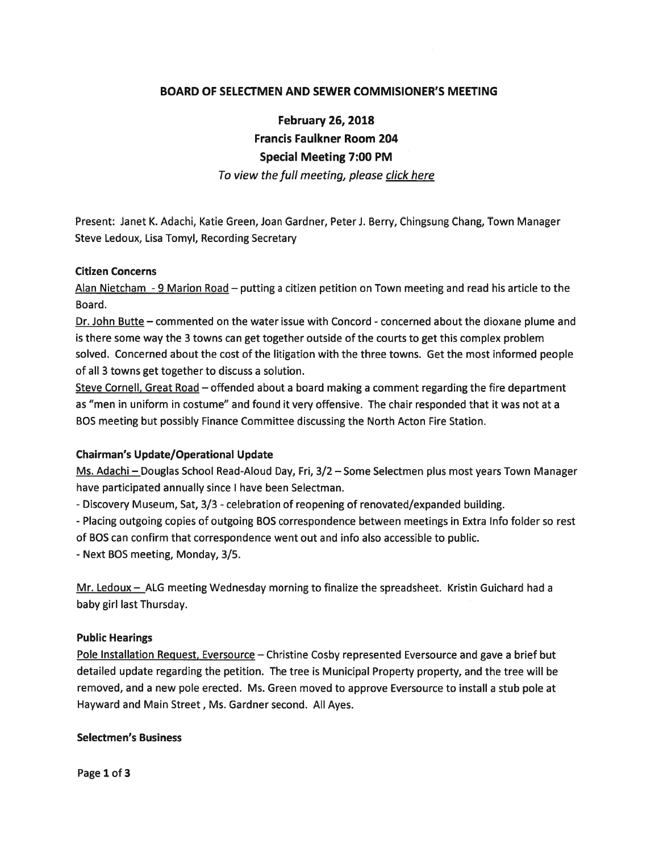# BOARD OF SELECTMEN AND SEWER COMMISIONER'S MEETING

February 26, 2018 Francis Faulkner Room 204 Special Meeting 7:00 PM

To view the full meeting, please click here

Present: Janet K. Adachi, Katie Green, Joan Gardner, PeterJ. Berry, Chingsung Chang, Town Manager Steve Ledoux, Lisa Tomyl, Recording Secretary

### Citizen Concerns

Alan Nietcham - 9 Marion Road — putting <sup>a</sup> citizen petition on Town meeting and read his article to the Board.

Dr. John Butte — commented on the water issue with Concord - concerned about the dioxane plume and is there some way the 3 towns can ge<sup>t</sup> together outside of the courts to ge<sup>t</sup> this complex problem solved. Concerned about the cost of the litigation with the three towns. Get the most informed people of all 3 towns ge<sup>t</sup> together to discuss <sup>a</sup> solution.

Steve Cornell, Great Road — offended about <sup>a</sup> board making <sup>a</sup> comment regarding the fire department as "men in uniform in costume" and found it very offensive. The chair responded that it was not at <sup>a</sup> BOS meeting but possibly Finance Committee discussing the North Acton Fire Station.

### Chairman's Update/Operational Update

Ms. Adachi — Douglas School Read-Aloud Day, Fri, 3/2 — Some Selectmen plus most years Town Manager have participated annually since I have been Selectman.

-Discovery Museum, Sat, 3/3 - celebration of reopening of renovated/expanded building.

-Placing outgoing copies of outgoing BOS correspondence between meetings in Extra Info folder so rest of BOS can confirm that correspondence went out and info also accessible to public.

-Next BOS meeting, Monday, 3/5.

Mr. Ledoux - ALG meeting Wednesday morning to finalize the spreadsheet. Kristin Guichard had a baby girl last Thursday.

### Public Hearings

Pole Installation Request, Eversource – Christine Cosby represented Eversource and gave a brief but detailed update regarding the petition. The tree is Municipal Property property, and the tree will be removed, and <sup>a</sup> new pole erected. Ms. Green moved to approve Eversource to install <sup>a</sup> stub pole at Hayward and Main Street, Ms. Gardner second. All Ayes.

### Selectmen's Business

Page 1 of 3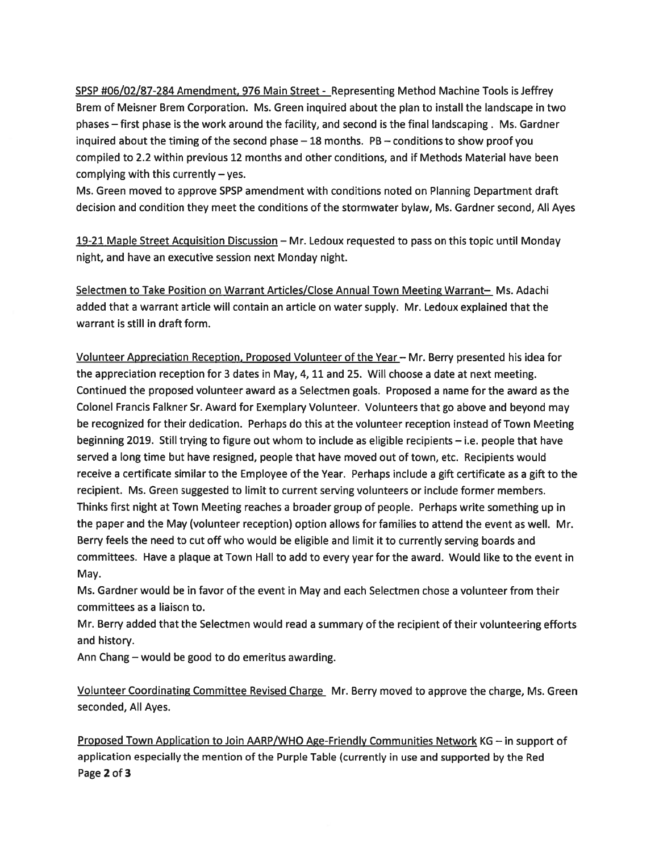SPSP #06/02/87-284 Amendment, 976 Main Street - Representing Method Machine Tools is Jeffrey Brem of Meisner Brem Corporation. Ms. Green inquired about the plan to install the landscape in two phases — first phase is the work around the facility, and second is the final landscaping . Ms. Gardner inquired about the timing of the second phase — 18 months. PB — conditions to show proof you compiled to 2.2 within previous 12 months and other conditions, and if Methods Material have been complying with this currently  $-$  yes.

Ms. Green moved to approve SPSP amendment with conditions noted on Planning Department draft decision and condition they meet the conditions of the stormwater bylaw, Ms. Gardner second, All Ayes

19-21 Maple Street Acquisition Discussion — Mr. Ledoux requested to pass on this topic until Monday night, and have an executive session next Monday night.

Selectmen to Take Position on Warrant Articles/Close Annual Town Meeting Warrant— Ms. Adachi added that <sup>a</sup> warrant article will contain an article on water supply. Mr. Ledoux explained that the warrant is still in draft form.

Volunteer Appreciation Reception, Proposed Volunteer of the Year — Mr. Berry presented his idea for the appreciation reception for 3 dates in May, 4, 11 and 25. Will choose <sup>a</sup> date at next meeting. Continued the proposed volunteer award as <sup>a</sup> Selectmen goals. Proposed <sup>a</sup> name for the award as the Colonel Francis Falkner Sr. Award for Exemplary Volunteer. Volunteers that go above and beyond may be recognized for their dedication. Perhaps do this at the volunteer reception instead of Town Meeting beginning 2019. Still trying to figure out whom to include as eligible recipients — i.e. people that have served <sup>a</sup> long time but have resigned, people that have moved out of town, etc. Recipients would receive <sup>a</sup> certificate similar to the Employee of the Year. Perhaps include <sup>a</sup> gift certificate as <sup>a</sup> gift to the recipient. Ms. Green suggested to limit to current serving volunteers or include former members. Thinks first night at Town Meeting reaches <sup>a</sup> broader group of people. Perhaps write something up in the paper and the May (volunteer reception) option allows for families to attend the event as well. Mr. Berry feels the need to cut off who would be eligible and limit it to currently serving boards and committees. Have <sup>a</sup> plaque at Town Hall to add to every year for the award. Would like to the event in May.

Ms. Gardner would be in favor of the event in May and each Selectmen chose <sup>a</sup> volunteer from their committees as <sup>a</sup> liaison to.

Mr. Berry added that the Selectmen would read <sup>a</sup> summary of the recipient of their volunteering efforts and history.

Ann Chang — would be good to do emeritus awarding.

Volunteer Coordinating Committee Revised Charge Mr. Berry moved to approve the charge, Ms. Green seconded, All Ayes.

Proposed Town Application to Join AARP/WHO Age-Friendly Communities Network KG — in suppor<sup>t</sup> of application especially the mention of the Purple Table (currently in use and supported by the Red Page 2 of 3